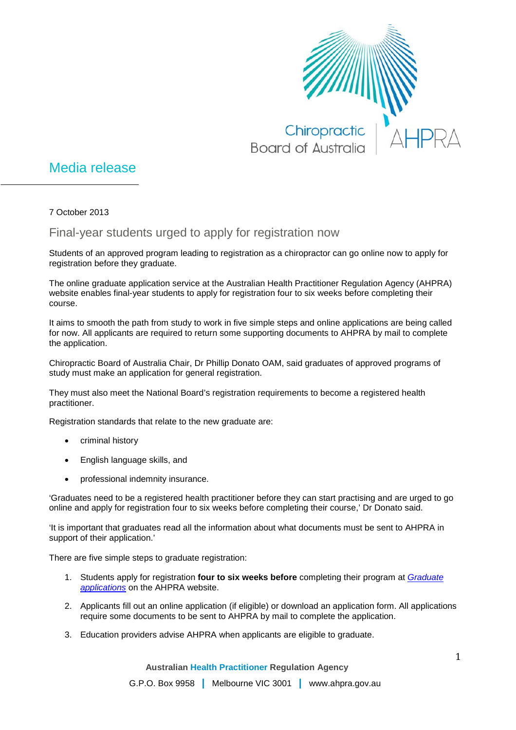

## Media release

7 October 2013

## Final-year students urged to apply for registration now

Students of an approved program leading to registration as a chiropractor can go online now to apply for registration before they graduate.

The online graduate application service at the Australian Health Practitioner Regulation Agency (AHPRA) website enables final-year students to apply for registration four to six weeks before completing their course.

It aims to smooth the path from study to work in five simple steps and online applications are being called for now. All applicants are required to return some supporting documents to AHPRA by mail to complete the application.

Chiropractic Board of Australia Chair, Dr Phillip Donato OAM, said graduates of approved programs of study must make an application for general registration.

They must also meet the National Board's registration requirements to become a registered health practitioner.

Registration standards that relate to the new graduate are:

- criminal history
- English language skills, and
- professional indemnity insurance.

'Graduates need to be a registered health practitioner before they can start practising and are urged to go online and apply for registration four to six weeks before completing their course,' Dr Donato said.

'It is important that graduates read all the information about what documents must be sent to AHPRA in support of their application.'

There are five simple steps to graduate registration:

- 1. Students apply for registration **four to six weeks before** completing their program at *[Graduate](http://www.ahpra.gov.au/Registration/Graduate-Applications.aspx)  [applications](http://www.ahpra.gov.au/Registration/Graduate-Applications.aspx)* on the AHPRA website.
- 2. Applicants fill out an online application (if eligible) or download an application form. All applications require some documents to be sent to AHPRA by mail to complete the application.
- 3. Education providers advise AHPRA when applicants are eligible to graduate.

**Australian Health Practitioner Regulation Agency**